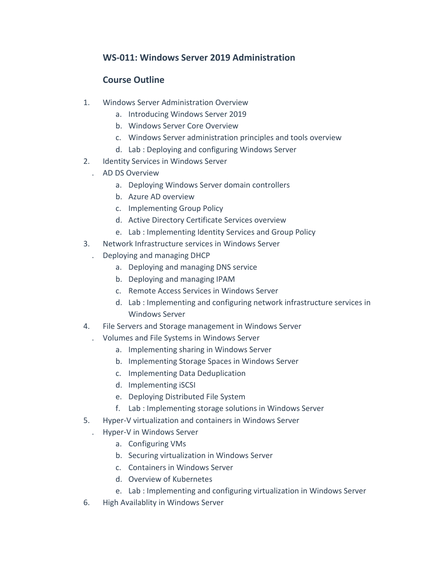## **WS-011: Windows Server 2019 Administration**

## **Course Outline**

- 1. Windows Server Administration Overview
	- a. Introducing Windows Server 2019
	- b. Windows Server Core Overview
	- c. Windows Server administration principles and tools overview
	- d. Lab : Deploying and configuring Windows Server
- 2. Identity Services in Windows Server
	- . AD DS Overview
		- a. Deploying Windows Server domain controllers
		- b. Azure AD overview
		- c. Implementing Group Policy
		- d. Active Directory Certificate Services overview
		- e. Lab : Implementing Identity Services and Group Policy
- 3. Network Infrastructure services in Windows Server
	- . Deploying and managing DHCP
		- a. Deploying and managing DNS service
		- b. Deploying and managing IPAM
		- c. Remote Access Services in Windows Server
		- d. Lab : Implementing and configuring network infrastructure services in Windows Server
- 4. File Servers and Storage management in Windows Server
	- . Volumes and File Systems in Windows Server
		- a. Implementing sharing in Windows Server
		- b. Implementing Storage Spaces in Windows Server
		- c. Implementing Data Deduplication
		- d. Implementing iSCSI
		- e. Deploying Distributed File System
		- f. Lab : Implementing storage solutions in Windows Server
- 5. Hyper-V virtualization and containers in Windows Server
	- . Hyper-V in Windows Server
		- a. Configuring VMs
		- b. Securing virtualization in Windows Server
		- c. Containers in Windows Server
		- d. Overview of Kubernetes
		- e. Lab : Implementing and configuring virtualization in Windows Server
- 6. High Availablity in Windows Server